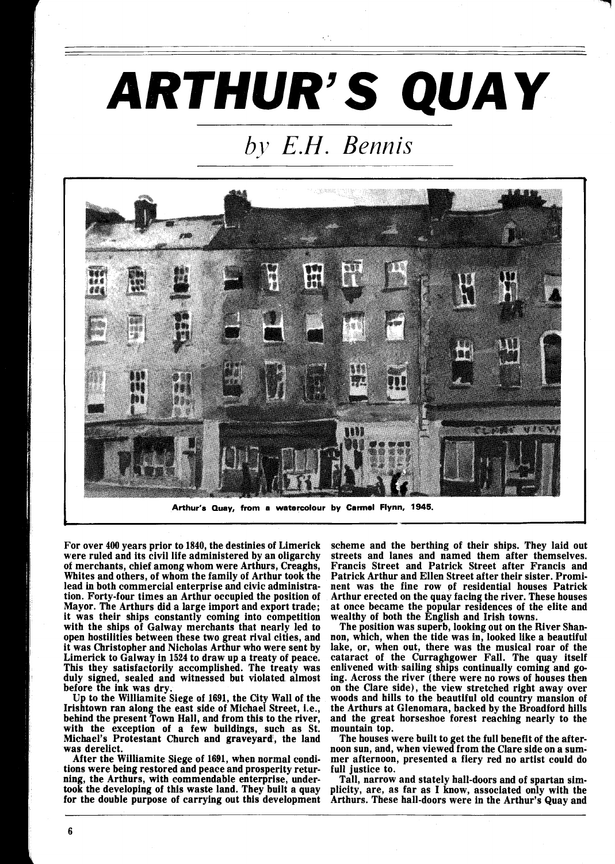## **THUR'S QUAY**

## hv *E.H. Bennis*



For over 400 years prior to 1840, the destinies of Limerick were ruled and its civil life administered by an oligarchy of merchants, chief among whom were Arthurs, Creaghs, Whites and others, of whom the family of Arthur took the lead in both commercial enterprise and civic administration. Forty-four times an Arthur occupied the position of Mayor. The Arthurs did a large import and export trade; it was their ships constantly coming into competition with the ships of Galway merchants that nearly led to open hostilities between these two great rival cities, and it was Christopher and Nicholas Arthur who were sent by Limerick to Galway in 1524 to draw up a treaty of peace. This they satisfactorily accomplished. The treaty was duly signed, sealed and witnessed but violated almost before the ink was dry.

Up to the Williamite Siege of 1691, the City Wall of the Irishtown ran along the east side of Michael Street, i.e., behind the present Town Hall, and from this to the river, with the exception of a few buildings, such as St. Michael's Protestant Church and graveyard', the land was derelict.

After the Williamite Siege of 1691, when normal conditions were being restored and peace and prosperity returning, the Arthurs, with commendable enterprise, undertook the developing of this waste land. They built a quay for the double purpose of carrying out this development scheme and the berthing of their ships. They laid out streets and lanes and named them after themselves. Francis Street and Patrick Street after Francis and Patrick Arthur and Ellen Street after their sister. Prominent was the fine row of residential houses Patrick Arthur erected on the quay facing the river. These houses at once became the popular residences of the elite and wealthy of both the English and Irish towns.

The position was superb, looking out on the River Shannon, which, when the tide was in, looked like a beautiful lake, or, when out, there was the musical roar of the cataract of the Curraghgower Fall. The quay itself enlivened with sailing ships continually coming and going. Across the river (there were no rows of houses then on the Clare side), the view stretched right away over woods and hills to the beautiful old country mansion of the Arthurs at Glenomara, backed by the Broadford hills and the great horseshoe forest reaching nearly to the mountain top.

The houses were built to get the full benefit of the afternoon sun, and, when viewed from the Clare side on a summer afternoon, presented a fiery red no artist could do full justice to.

Tall, narrow and stately hall-doors and of spartan simplicity, are, as far as I know, associated only with the Arthurs. These hall-doors were in the Arthur's Quay and